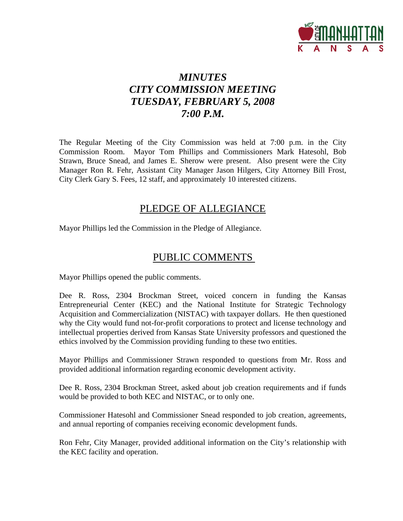

# *MINUTES CITY COMMISSION MEETING TUESDAY, FEBRUARY 5, 2008 7:00 P.M.*

The Regular Meeting of the City Commission was held at 7:00 p.m. in the City Commission Room. Mayor Tom Phillips and Commissioners Mark Hatesohl, Bob Strawn, Bruce Snead, and James E. Sherow were present. Also present were the City Manager Ron R. Fehr, Assistant City Manager Jason Hilgers, City Attorney Bill Frost, City Clerk Gary S. Fees, 12 staff, and approximately 10 interested citizens.

## PLEDGE OF ALLEGIANCE

Mayor Phillips led the Commission in the Pledge of Allegiance.

# PUBLIC COMMENTS

Mayor Phillips opened the public comments.

Dee R. Ross, 2304 Brockman Street, voiced concern in funding the Kansas Entrepreneurial Center (KEC) and the National Institute for Strategic Technology Acquisition and Commercialization (NISTAC) with taxpayer dollars. He then questioned why the City would fund not-for-profit corporations to protect and license technology and intellectual properties derived from Kansas State University professors and questioned the ethics involved by the Commission providing funding to these two entities.

Mayor Phillips and Commissioner Strawn responded to questions from Mr. Ross and provided additional information regarding economic development activity.

Dee R. Ross, 2304 Brockman Street, asked about job creation requirements and if funds would be provided to both KEC and NISTAC, or to only one.

Commissioner Hatesohl and Commissioner Snead responded to job creation, agreements, and annual reporting of companies receiving economic development funds.

Ron Fehr, City Manager, provided additional information on the City's relationship with the KEC facility and operation.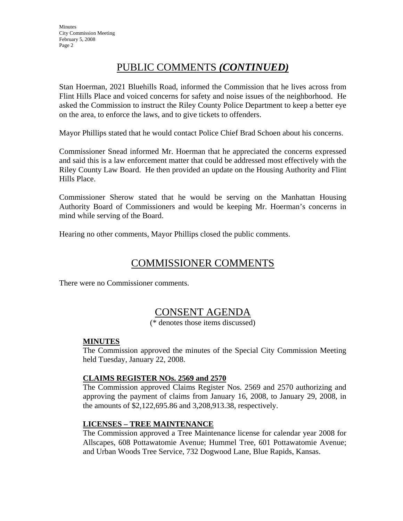**Minutes** City Commission Meeting February 5, 2008 Page 2

## PUBLIC COMMENTS *(CONTINUED)*

Stan Hoerman, 2021 Bluehills Road, informed the Commission that he lives across from Flint Hills Place and voiced concerns for safety and noise issues of the neighborhood. He asked the Commission to instruct the Riley County Police Department to keep a better eye on the area, to enforce the laws, and to give tickets to offenders.

Mayor Phillips stated that he would contact Police Chief Brad Schoen about his concerns.

Commissioner Snead informed Mr. Hoerman that he appreciated the concerns expressed and said this is a law enforcement matter that could be addressed most effectively with the Riley County Law Board. He then provided an update on the Housing Authority and Flint Hills Place.

Commissioner Sherow stated that he would be serving on the Manhattan Housing Authority Board of Commissioners and would be keeping Mr. Hoerman's concerns in mind while serving of the Board.

Hearing no other comments, Mayor Phillips closed the public comments.

## COMMISSIONER COMMENTS

There were no Commissioner comments.

## CONSENT AGENDA

(\* denotes those items discussed)

#### **MINUTES**

The Commission approved the minutes of the Special City Commission Meeting held Tuesday, January 22, 2008.

#### **CLAIMS REGISTER NOs. 2569 and 2570**

The Commission approved Claims Register Nos. 2569 and 2570 authorizing and approving the payment of claims from January 16, 2008, to January 29, 2008, in the amounts of \$2,122,695.86 and 3,208,913.38, respectively.

#### **LICENSES – TREE MAINTENANCE**

The Commission approved a Tree Maintenance license for calendar year 2008 for Allscapes, 608 Pottawatomie Avenue; Hummel Tree, 601 Pottawatomie Avenue; and Urban Woods Tree Service, 732 Dogwood Lane, Blue Rapids, Kansas.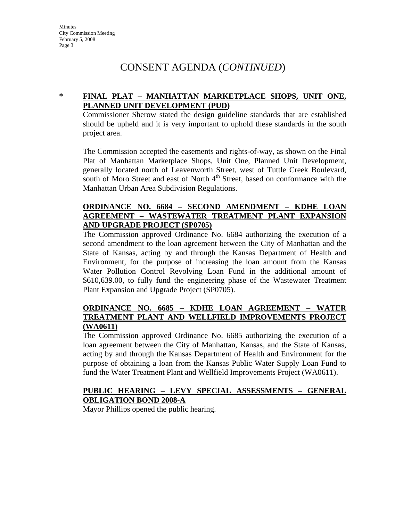## CONSENT AGENDA (*CONTINUED*)

#### **\* FINAL PLAT – MANHATTAN MARKETPLACE SHOPS, UNIT ONE, PLANNED UNIT DEVELOPMENT (PUD)**

Commissioner Sherow stated the design guideline standards that are established should be upheld and it is very important to uphold these standards in the south project area.

The Commission accepted the easements and rights-of-way, as shown on the Final Plat of Manhattan Marketplace Shops, Unit One, Planned Unit Development, generally located north of Leavenworth Street, west of Tuttle Creek Boulevard, south of Moro Street and east of North  $4<sup>th</sup>$  Street, based on conformance with the Manhattan Urban Area Subdivision Regulations.

### **ORDINANCE NO. 6684 – SECOND AMENDMENT – KDHE LOAN AGREEMENT – WASTEWATER TREATMENT PLANT EXPANSION AND UPGRADE PROJECT (SP0705)**

The Commission approved Ordinance No. 6684 authorizing the execution of a second amendment to the loan agreement between the City of Manhattan and the State of Kansas, acting by and through the Kansas Department of Health and Environment, for the purpose of increasing the loan amount from the Kansas Water Pollution Control Revolving Loan Fund in the additional amount of \$610,639.00, to fully fund the engineering phase of the Wastewater Treatment Plant Expansion and Upgrade Project (SP0705).

#### **ORDINANCE NO. 6685 – KDHE LOAN AGREEMENT – WATER TREATMENT PLANT AND WELLFIELD IMPROVEMENTS PROJECT (WA0611)**

The Commission approved Ordinance No. 6685 authorizing the execution of a loan agreement between the City of Manhattan, Kansas, and the State of Kansas, acting by and through the Kansas Department of Health and Environment for the purpose of obtaining a loan from the Kansas Public Water Supply Loan Fund to fund the Water Treatment Plant and Wellfield Improvements Project (WA0611).

#### **PUBLIC HEARING – LEVY SPECIAL ASSESSMENTS – GENERAL OBLIGATION BOND 2008-A**

Mayor Phillips opened the public hearing.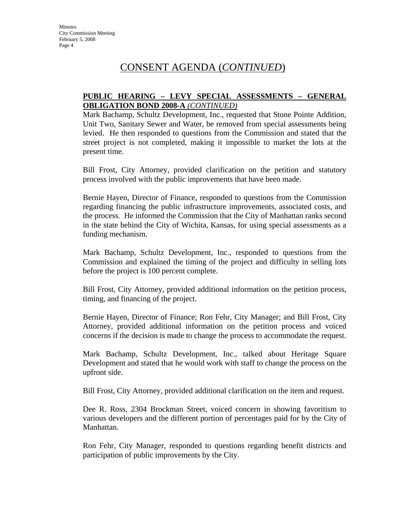## CONSENT AGENDA (*CONTINUED*)

#### **PUBLIC HEARING – LEVY SPECIAL ASSESSMENTS – GENERAL OBLIGATION BOND 2008-A** *(CONTINUED)*

Mark Bachamp, Schultz Development, Inc., requested that Stone Pointe Addition, Unit Two, Sanitary Sewer and Water, be removed from special assessments being levied. He then responded to questions from the Commission and stated that the street project is not completed, making it impossible to market the lots at the present time.

Bill Frost, City Attorney, provided clarification on the petition and statutory process involved with the public improvements that have been made.

Bernie Hayen, Director of Finance, responded to questions from the Commission regarding financing the public infrastructure improvements, associated costs, and the process. He informed the Commission that the City of Manhattan ranks second in the state behind the City of Wichita, Kansas, for using special assessments as a funding mechanism.

Mark Bachamp, Schultz Development, Inc., responded to questions from the Commission and explained the timing of the project and difficulty in selling lots before the project is 100 percent complete.

Bill Frost, City Attorney, provided additional information on the petition process, timing, and financing of the project.

Bernie Hayen, Director of Finance; Ron Fehr, City Manager; and Bill Frost, City Attorney, provided additional information on the petition process and voiced concerns if the decision is made to change the process to accommodate the request.

Mark Bachamp, Schultz Development, Inc., talked about Heritage Square Development and stated that he would work with staff to change the process on the upfront side.

Bill Frost, City Attorney, provided additional clarification on the item and request.

Dee R. Ross, 2304 Brockman Street, voiced concern in showing favoritism to various developers and the different portion of percentages paid for by the City of Manhattan.

Ron Fehr, City Manager, responded to questions regarding benefit districts and participation of public improvements by the City.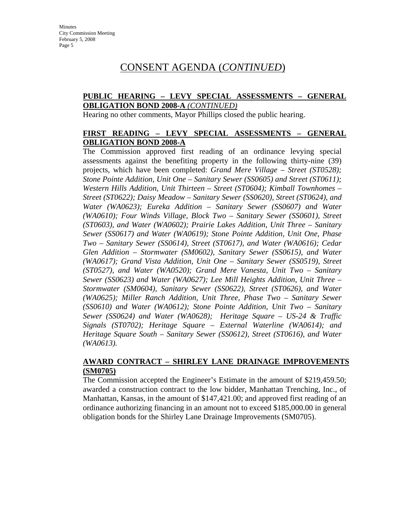## CONSENT AGENDA (*CONTINUED*)

#### **PUBLIC HEARING – LEVY SPECIAL ASSESSMENTS – GENERAL OBLIGATION BOND 2008-A** *(CONTINUED)*

Hearing no other comments, Mayor Phillips closed the public hearing.

#### **FIRST READING – LEVY SPECIAL ASSESSMENTS – GENERAL OBLIGATION BOND 2008-A**

The Commission approved first reading of an ordinance levying special assessments against the benefiting property in the following thirty-nine (39) projects, which have been completed: *Grand Mere Village – Street (ST0528); Stone Pointe Addition, Unit One – Sanitary Sewer (SS0605) and Street (ST0611); Western Hills Addition, Unit Thirteen – Street (ST0604); Kimball Townhomes – Street (ST0622); Daisy Meadow – Sanitary Sewer (SS0620), Street (ST0624), and Water (WA0623); Eureka Addition – Sanitary Sewer (SS0607) and Water (WA0610); Four Winds Village, Block Two – Sanitary Sewer (SS0601), Street (ST0603), and Water (WA0602); Prairie Lakes Addition, Unit Three – Sanitary Sewer (SS0617) and Water (WA0619); Stone Pointe Addition, Unit One, Phase Two – Sanitary Sewer (SS0614), Street (ST0617), and Water (WA0616); Cedar Glen Addition – Stormwater (SM0602), Sanitary Sewer (SS0615), and Water (WA0617); Grand Vista Addition, Unit One – Sanitary Sewer (SS0519), Street (ST0527), and Water (WA0520); Grand Mere Vanesta, Unit Two – Sanitary Sewer (SS0623) and Water (WA0627); Lee Mill Heights Addition, Unit Three – Stormwater (SM0604), Sanitary Sewer (SS0622), Street (ST0626), and Water (WA0625); Miller Ranch Addition, Unit Three, Phase Two – Sanitary Sewer (SS0610) and Water (WA0612); Stone Pointe Addition, Unit Two – Sanitary Sewer (SS0624) and Water (WA0628); Heritage Square – US-24 & Traffic Signals (ST0702); Heritage Square – External Waterline (WA0614); and Heritage Square South – Sanitary Sewer (SS0612), Street (ST0616), and Water (WA0613).* 

#### **AWARD CONTRACT – SHIRLEY LANE DRAINAGE IMPROVEMENTS (SM0705)**

The Commission accepted the Engineer's Estimate in the amount of \$219,459.50; awarded a construction contract to the low bidder, Manhattan Trenching, Inc., of Manhattan, Kansas, in the amount of \$147,421.00; and approved first reading of an ordinance authorizing financing in an amount not to exceed \$185,000.00 in general obligation bonds for the Shirley Lane Drainage Improvements (SM0705).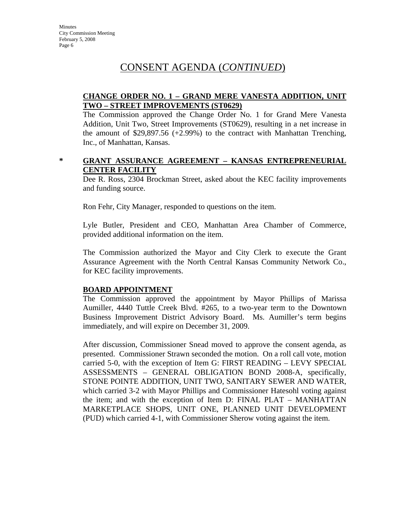**Minutes** City Commission Meeting February 5, 2008 Page 6

## CONSENT AGENDA (*CONTINUED*)

#### **CHANGE ORDER NO. 1 – GRAND MERE VANESTA ADDITION, UNIT TWO – STREET IMPROVEMENTS (ST0629)**

The Commission approved the Change Order No. 1 for Grand Mere Vanesta Addition, Unit Two, Street Improvements (ST0629), resulting in a net increase in the amount of  $$29,897.56 (+2.99%)$  to the contract with Manhattan Trenching, Inc., of Manhattan, Kansas.

#### **\* GRANT ASSURANCE AGREEMENT – KANSAS ENTREPRENEURIAL CENTER FACILITY**

Dee R. Ross, 2304 Brockman Street, asked about the KEC facility improvements and funding source.

Ron Fehr, City Manager, responded to questions on the item.

Lyle Butler, President and CEO, Manhattan Area Chamber of Commerce, provided additional information on the item.

The Commission authorized the Mayor and City Clerk to execute the Grant Assurance Agreement with the North Central Kansas Community Network Co., for KEC facility improvements.

#### **BOARD APPOINTMENT**

The Commission approved the appointment by Mayor Phillips of Marissa Aumiller, 4440 Tuttle Creek Blvd. #265, to a two-year term to the Downtown Business Improvement District Advisory Board. Ms. Aumiller's term begins immediately, and will expire on December 31, 2009.

After discussion, Commissioner Snead moved to approve the consent agenda, as presented. Commissioner Strawn seconded the motion. On a roll call vote, motion carried 5-0, with the exception of Item G: FIRST READING – LEVY SPECIAL ASSESSMENTS – GENERAL OBLIGATION BOND 2008-A, specifically, STONE POINTE ADDITION, UNIT TWO, SANITARY SEWER AND WATER, which carried 3-2 with Mayor Phillips and Commissioner Hatesohl voting against the item; and with the exception of Item D: FINAL PLAT – MANHATTAN MARKETPLACE SHOPS, UNIT ONE, PLANNED UNIT DEVELOPMENT (PUD) which carried 4-1, with Commissioner Sherow voting against the item.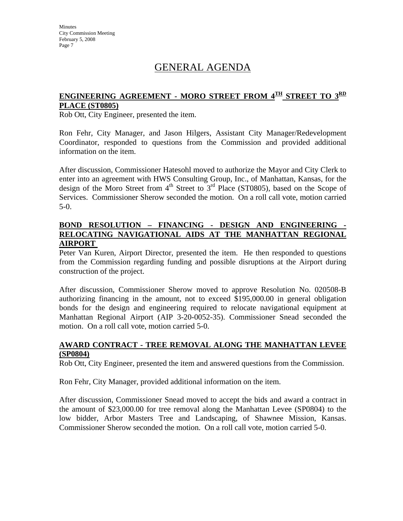# GENERAL AGENDA

### **ENGINEERING AGREEMENT - MORO STREET FROM 4TH STREET TO 3RD PLACE (ST0805)**

Rob Ott, City Engineer, presented the item.

Ron Fehr, City Manager, and Jason Hilgers, Assistant City Manager/Redevelopment Coordinator, responded to questions from the Commission and provided additional information on the item.

After discussion, Commissioner Hatesohl moved to authorize the Mayor and City Clerk to enter into an agreement with HWS Consulting Group, Inc., of Manhattan, Kansas, for the design of the Moro Street from  $4<sup>th</sup>$  Street to  $3<sup>rd</sup>$  Place (ST0805), based on the Scope of Services. Commissioner Sherow seconded the motion. On a roll call vote, motion carried 5-0.

#### **BOND RESOLUTION – FINANCING - DESIGN AND ENGINEERING - RELOCATING NAVIGATIONAL AIDS AT THE MANHATTAN REGIONAL AIRPORT**

Peter Van Kuren, Airport Director, presented the item. He then responded to questions from the Commission regarding funding and possible disruptions at the Airport during construction of the project.

After discussion, Commissioner Sherow moved to approve Resolution No. 020508-B authorizing financing in the amount, not to exceed \$195,000.00 in general obligation bonds for the design and engineering required to relocate navigational equipment at Manhattan Regional Airport (AIP 3-20-0052-35). Commissioner Snead seconded the motion. On a roll call vote, motion carried 5-0.

#### **AWARD CONTRACT - TREE REMOVAL ALONG THE MANHATTAN LEVEE (SP0804)**

Rob Ott, City Engineer, presented the item and answered questions from the Commission.

Ron Fehr, City Manager, provided additional information on the item.

After discussion, Commissioner Snead moved to accept the bids and award a contract in the amount of \$23,000.00 for tree removal along the Manhattan Levee (SP0804) to the low bidder, Arbor Masters Tree and Landscaping, of Shawnee Mission, Kansas. Commissioner Sherow seconded the motion. On a roll call vote, motion carried 5-0.